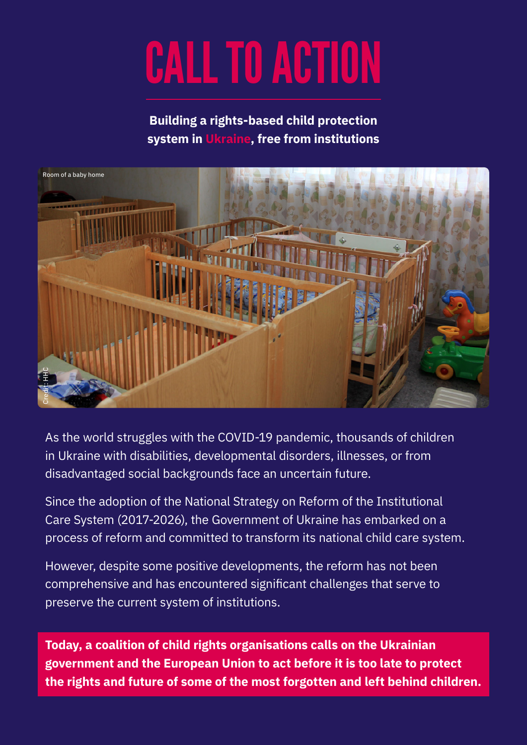# CALL TO ACTION

**Building a rights-based child protection system in Ukraine, free from institutions**



As the world struggles with the COVID-19 pandemic, thousands of children in Ukraine with disabilities, developmental disorders, illnesses, or from disadvantaged social backgrounds face an uncertain future.

Since the adoption of the National Strategy on Reform of the Institutional Care System (2017-2026), the Government of Ukraine has embarked on a process of reform and committed to transform its national child care system.

However, despite some positive developments, the reform has not been comprehensive and has encountered significant challenges that serve to preserve the current system of institutions.

**Today, a coalition of child rights organisations calls on the Ukrainian government and the European Union to act before it is too late to protect the rights and future of some of the most forgotten and left behind children.**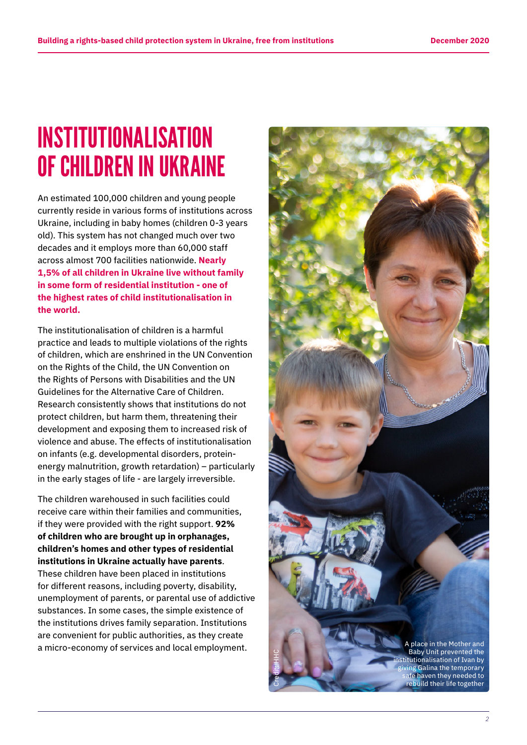# INSTITUTIONALISATION OF CHILDREN IN UKRAINE

An estimated 100,000 children and young people currently reside in various forms of institutions across Ukraine, including in baby homes (children 0-3 years old). This system has not changed much over two decades and it employs more than 60,000 staff across almost 700 facilities nationwide. **Nearly 1,5% of all children in Ukraine live without family in some form of residential institution - one of the highest rates of child institutionalisation in the world.**

The institutionalisation of children is a harmful practice and leads to multiple violations of the rights of children, which are enshrined in the UN Convention on the Rights of the Child, the UN Convention on the Rights of Persons with Disabilities and the UN Guidelines for the Alternative Care of Children. Research consistently shows that institutions do not protect children, but harm them, threatening their development and exposing them to increased risk of violence and abuse. The effects of institutionalisation on infants (e.g. developmental disorders, proteinenergy malnutrition, growth retardation) – particularly in the early stages of life - are largely irreversible.

The children warehoused in such facilities could receive care within their families and communities, if they were provided with the right support. **92% of children who are brought up in orphanages, children's homes and other types of residential institutions in Ukraine actually have parents**. These children have been placed in institutions for different reasons, including poverty, disability, unemployment of parents, or parental use of addictive substances. In some cases, the simple existence of the institutions drives family separation. Institutions are convenient for public authorities, as they create

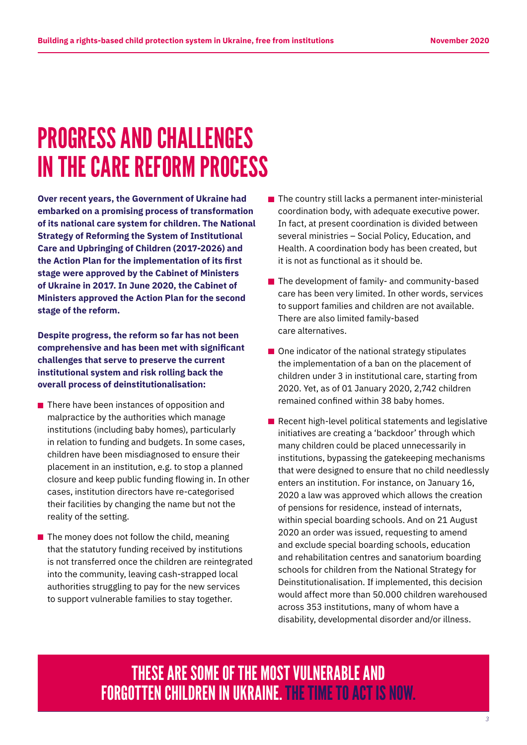# PROGRESS AND CHALLENGES IN THE CARE REFORM PROCESS

**Over recent years, the Government of Ukraine had embarked on a promising process of transformation of its national care system for children. The National Strategy of Reforming the System of Institutional Care and Upbringing of Children (2017-2026) and the Action Plan for the implementation of its first stage were approved by the Cabinet of Ministers of Ukraine in 2017. In June 2020, the Cabinet of Ministers approved the Action Plan for the second stage of the reform.** 

**Despite progress, the reform so far has not been comprehensive and has been met with significant challenges that serve to preserve the current institutional system and risk rolling back the overall process of deinstitutionalisation:** 

- $\blacksquare$  There have been instances of opposition and malpractice by the authorities which manage institutions (including baby homes), particularly in relation to funding and budgets. In some cases, children have been misdiagnosed to ensure their placement in an institution, e.g. to stop a planned closure and keep public funding flowing in. In other cases, institution directors have re-categorised their facilities by changing the name but not the reality of the setting.
- $\blacksquare$  The money does not follow the child, meaning that the statutory funding received by institutions is not transferred once the children are reintegrated into the community, leaving cash-strapped local authorities struggling to pay for the new services to support vulnerable families to stay together.
- $\blacksquare$  The country still lacks a permanent inter-ministerial coordination body, with adequate executive power. In fact, at present coordination is divided between several ministries – Social Policy, Education, and Health. A coordination body has been created, but it is not as functional as it should be.
- The development of family- and community-based care has been very limited. In other words, services to support families and children are not available. There are also limited family-based care alternatives.
- $\blacksquare$  One indicator of the national strategy stipulates the implementation of a ban on the placement of children under 3 in institutional care, starting from 2020. Yet, as of 01 January 2020, 2,742 children remained confined within 38 baby homes.
- $\blacksquare$  Recent high-level political statements and legislative initiatives are creating a 'backdoor' through which many children could be placed unnecessarily in institutions, bypassing the gatekeeping mechanisms that were designed to ensure that no child needlessly enters an institution. For instance, on January 16, 2020 a law was approved which allows the creation of pensions for residence, instead of internats, within special boarding schools. And on 21 August 2020 an order was issued, requesting to amend and exclude special boarding schools, education and rehabilitation centres and sanatorium boarding schools for children from the National Strategy for Deinstitutionalisation. If implemented, this decision would affect more than 50.000 children warehoused across 353 institutions, many of whom have a disability, developmental disorder and/or illness.

THESE ARE SOME OF THE MOST VULNERABLE AND FORGOTTEN CHILDREN IN UKRAINE. THE TIME TO ACT IS NOW.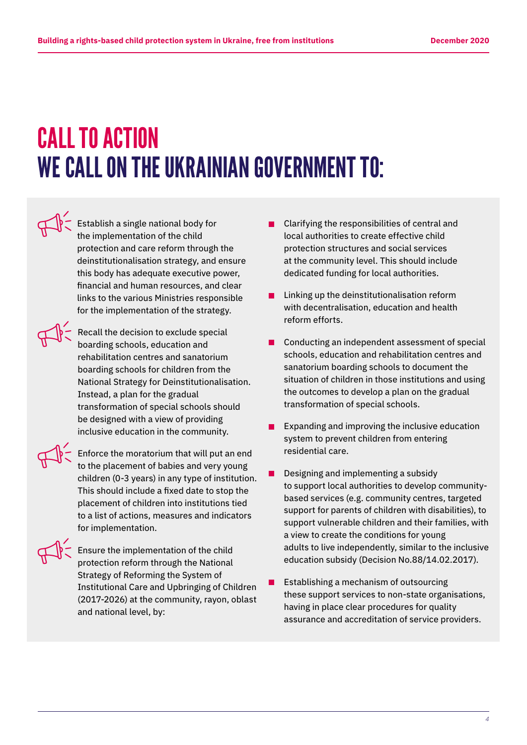# CALL TO ACTION WE CALL ON THE UKRAINIAN GOVERNMENT TO:

 Establish a single national body for the implementation of the child protection and care reform through the deinstitutionalisation strategy, and ensure this body has adequate executive power, financial and human resources, and clear links to the various Ministries responsible for the implementation of the strategy.

 Recall the decision to exclude special boarding schools, education and rehabilitation centres and sanatorium boarding schools for children from the National Strategy for Deinstitutionalisation. Instead, a plan for the gradual transformation of special schools should be designed with a view of providing inclusive education in the community.

 Enforce the moratorium that will put an end to the placement of babies and very young children (0-3 years) in any type of institution. This should include a fixed date to stop the placement of children into institutions tied to a list of actions, measures and indicators for implementation.

 Ensure the implementation of the child protection reform through the National Strategy of Reforming the System of Institutional Care and Upbringing of Children (2017-2026) at the community, rayon, oblast and national level, by:

- Clarifying the responsibilities of central and local authorities to create effective child protection structures and social services at the community level. This should include dedicated funding for local authorities.
- $\blacksquare$  Linking up the deinstitutionalisation reform with decentralisation, education and health reform efforts.
- Conducting an independent assessment of special schools, education and rehabilitation centres and sanatorium boarding schools to document the situation of children in those institutions and using the outcomes to develop a plan on the gradual transformation of special schools.
- **EXPANDING EXPANDING EXPANDING INCOCO** EXPANDING EXPANDING EXPANDING EXPANDING EXPANDING EXPANDING EXPANDING EXP system to prevent children from entering residential care.
- $\blacksquare$  Designing and implementing a subsidy to support local authorities to develop communitybased services (e.g. community centres, targeted support for parents of children with disabilities), to support vulnerable children and their families, with a view to create the conditions for young adults to live independently, similar to the inclusive education subsidy (Decision No.88/14.02.2017).
- **E** Establishing a mechanism of outsourcing these support services to non-state organisations, having in place clear procedures for quality assurance and accreditation of service providers.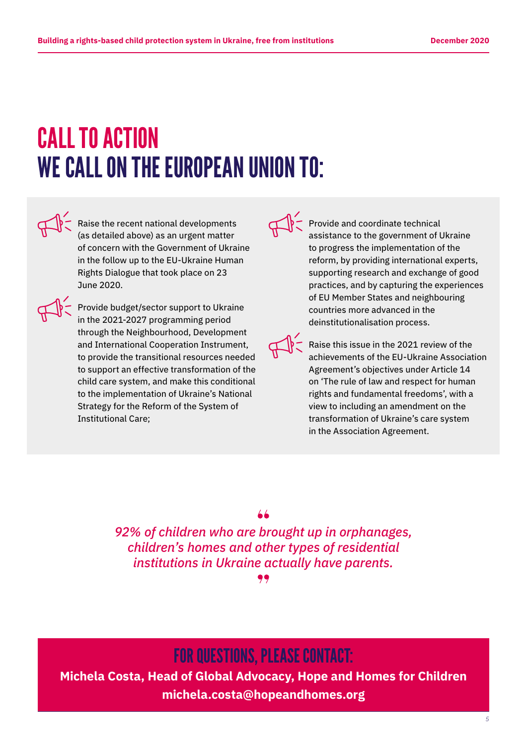# CALL TO ACTION WE CALL ON THE EUROPEAN UNION TO:



 Raise the recent national developments (as detailed above) as an urgent matter of concern with the Government of Ukraine in the follow up to the EU-Ukraine Human Rights Dialogue that took place on 23 June 2020.



 Provide budget/sector support to Ukraine in the 2021-2027 programming period through the Neighbourhood, Development and International Cooperation Instrument, to provide the transitional resources needed to support an effective transformation of the child care system, and make this conditional to the implementation of Ukraine's National Strategy for the Reform of the System of Institutional Care;

 $\mathbb{Q}$  Provide and coordinate technical assistance to the government of Ukraine to progress the implementation of the reform, by providing international experts, supporting research and exchange of good practices, and by capturing the experiences of EU Member States and neighbouring countries more advanced in the deinstitutionalisation process.

> Raise this issue in the 2021 review of the achievements of the EU-Ukraine Association Agreement's objectives under Article 14 on 'The rule of law and respect for human rights and fundamental freedoms', with a view to including an amendment on the transformation of Ukraine's care system in the Association Agreement.

*92% of children who are brought up in orphanages, children's homes and other types of residential institutions in Ukraine actually have parents.*

### FOR QUESTIONS, PLEASE CONTACT:

**Michela Costa, Head of Global Advocacy, Hope and Homes for Children michela.costa@hopeandhomes.org**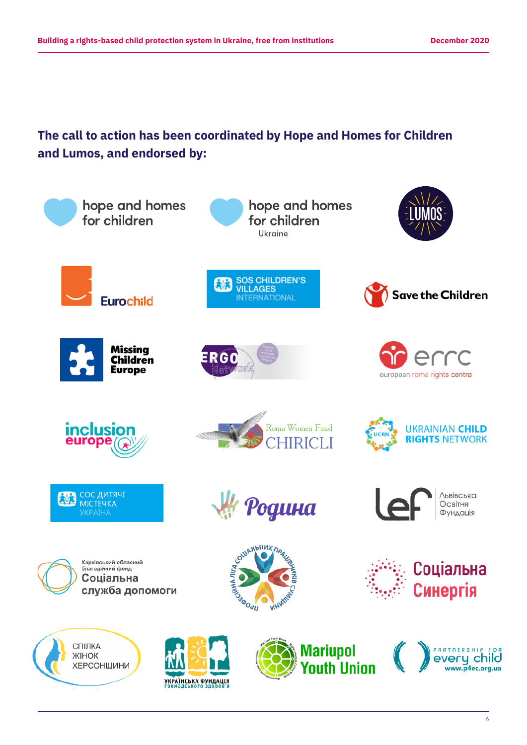### **The call to action has been coordinated by Hope and Homes for Children and Lumos, and endorsed by:**